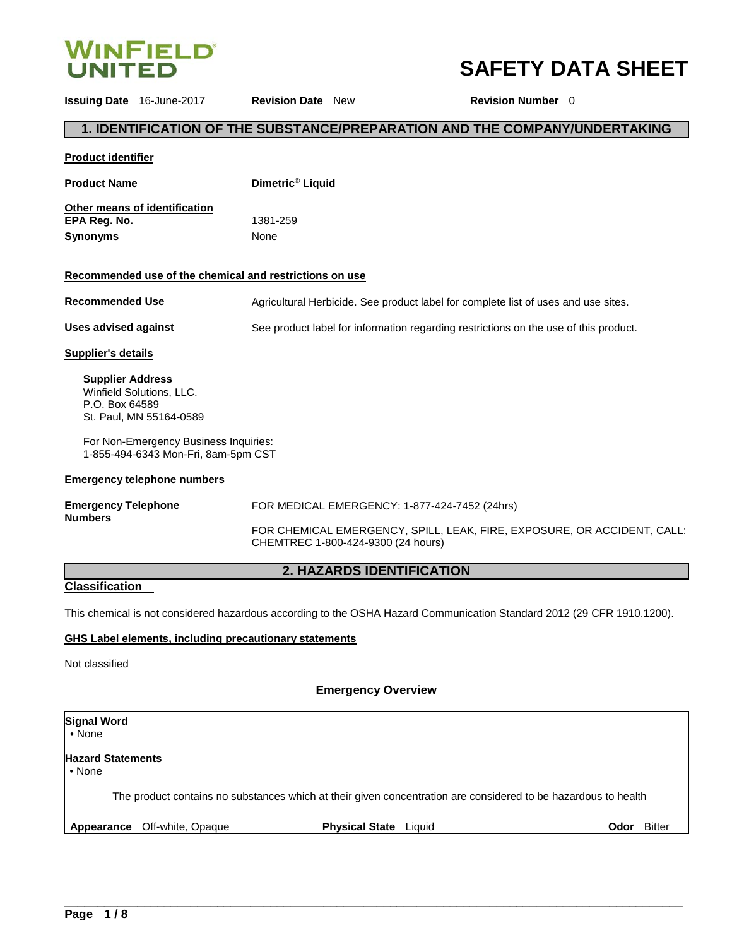

# **SAFETY DATA SHEET**

**1. IDENTIFICATION OF THE SUBSTANCE/PREPARATION AND THE COMPANY/UNDERTAKING Product identifier Product Name Other means of identification Dimetric® Liquid**

**EPA Reg. No.**  1381-259 **Synonyms** None

# **Recommended use of the chemical and restrictions on use**

**Recommended Use** Agricultural Herbicide. See product label for complete list of uses and use sites. **Uses advised against** See product label for information regarding restrictions on the use of this product.

**Issuing Date** 16-June-2017 **Revision Date** New **Revision Number** 0

# **Supplier's details**

**Supplier Address** Winfield Solutions, LLC. P.O. Box 64589 St. Paul, MN 55164-0589

For Non-Emergency Business Inquiries: 1-855-494-6343 Mon-Fri, 8am-5pm CST

### **Emergency telephone numbers**

| <b>Emergency Telephone</b><br><b>Numbers</b> | FOR MEDICAL EMERGENCY: 1-877-424-7452 (24hrs)                                                                 |
|----------------------------------------------|---------------------------------------------------------------------------------------------------------------|
|                                              | FOR CHEMICAL EMERGENCY, SPILL, LEAK, FIRE, EXPOSURE, OR ACCIDENT, CALL:<br>CHEMTREC 1-800-424-9300 (24 hours) |

# **2. HAZARDS IDENTIFICATION**

# **Classification**

This chemical is not considered hazardous according to the OSHA Hazard Communication Standard 2012 (29 CFR 1910.1200).

# **GHS Label elements, including precautionary statements**

Not classified

# **Emergency Overview**

| <b>Signal Word</b><br>$\bullet$ None       |                              |                              |                                                                                                                |               |
|--------------------------------------------|------------------------------|------------------------------|----------------------------------------------------------------------------------------------------------------|---------------|
| <b>Hazard Statements</b><br>$\bullet$ None |                              |                              |                                                                                                                |               |
|                                            |                              |                              | The product contains no substances which at their given concentration are considered to be hazardous to health |               |
|                                            | Appearance Off-white, Opaque | <b>Physical State</b> Liquid | <b>Odor</b>                                                                                                    | <b>Bitter</b> |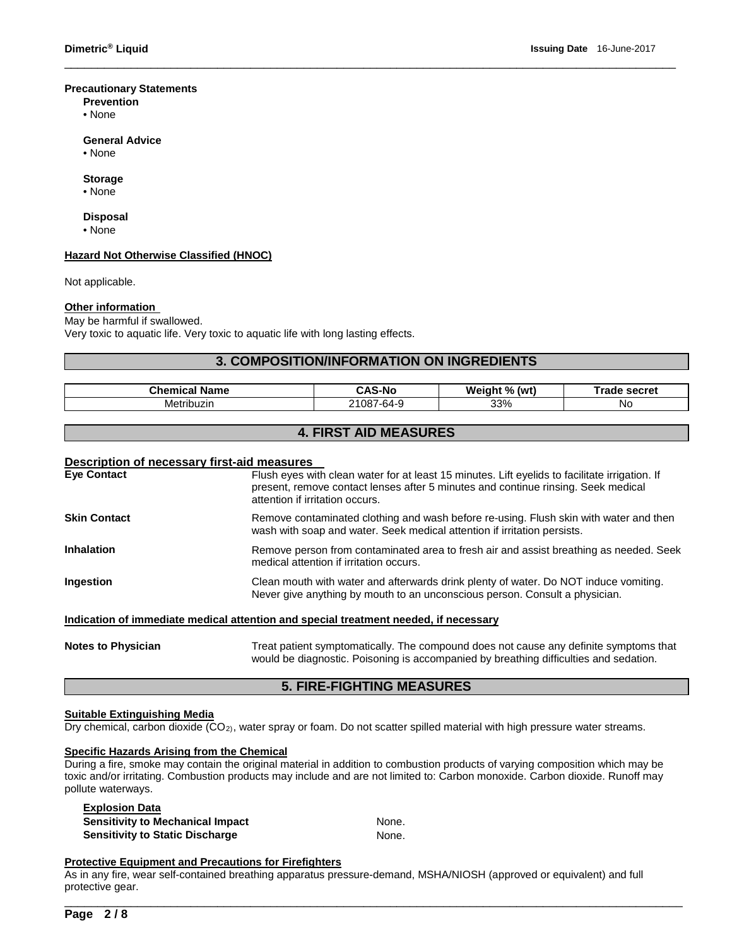### **Precautionary Statements**

- **Prevention**
- None

#### **General Advice**

• None

### **Storage**

• None

# **Disposal**

• None

### **Hazard Not Otherwise Classified (HNOC)**

Not applicable.

### **Other information**

### May be harmful if swallowed.

Very toxic to aquatic life. Very toxic to aquatic life with long lasting effects.

# **3. COMPOSITION/INFORMATION ON INGREDIENTS**

\_\_\_\_\_\_\_\_\_\_\_\_\_\_\_\_\_\_\_\_\_\_\_\_\_\_\_\_\_\_\_\_\_\_\_\_\_\_\_\_\_\_\_\_\_\_\_\_\_\_\_\_\_\_\_\_\_\_\_\_\_\_\_\_\_\_\_\_\_\_\_\_\_\_\_\_\_\_\_\_\_\_\_\_\_\_\_\_\_\_\_\_

| m.<br><b>Name</b> | $\lambda$ C<br>-Nr | $\mathbf{a}$<br>We<br>(wt)<br>7n | secret<br>77 I J I <del>J</del> |
|-------------------|--------------------|----------------------------------|---------------------------------|
| Metribuzin        | . ארי<br>. -64-Y   | 33%                              | <b>No</b>                       |

# **4. FIRST AID MEASURES**

# **Description of necessary first-aid measures**

| <b>Eve Contact</b>        | Flush eyes with clean water for at least 15 minutes. Lift eyelids to facilitate irrigation. If<br>present, remove contact lenses after 5 minutes and continue rinsing. Seek medical<br>attention if irritation occurs. |
|---------------------------|------------------------------------------------------------------------------------------------------------------------------------------------------------------------------------------------------------------------|
| <b>Skin Contact</b>       | Remove contaminated clothing and wash before re-using. Flush skin with water and then<br>wash with soap and water. Seek medical attention if irritation persists.                                                      |
| <b>Inhalation</b>         | Remove person from contaminated area to fresh air and assist breathing as needed. Seek<br>medical attention if irritation occurs.                                                                                      |
| Ingestion                 | Clean mouth with water and afterwards drink plenty of water. Do NOT induce vomiting.<br>Never give anything by mouth to an unconscious person. Consult a physician.                                                    |
|                           | Indication of immediate medical attention and special treatment needed, if necessary                                                                                                                                   |
| <b>Notes to Physician</b> | Treat patient symptomatically. The compound does not cause any definite symptoms that<br>would be diagnostic. Poisoning is accompanied by breathing difficulties and sedation.                                         |

# **5. FIRE-FIGHTING MEASURES**

### **Suitable Extinguishing Media**

Dry chemical, carbon dioxide (CO<sub>2</sub>), water spray or foam. Do not scatter spilled material with high pressure water streams.

# **Specific Hazards Arising from the Chemical**

During a fire, smoke may contain the original material in addition to combustion products of varying composition which may be toxic and/or irritating. Combustion products may include and are not limited to: Carbon monoxide. Carbon dioxide. Runoff may pollute waterways.

| <b>Explosion Data</b>                   |       |
|-----------------------------------------|-------|
| <b>Sensitivity to Mechanical Impact</b> | None. |
| <b>Sensitivity to Static Discharge</b>  | None. |

### **Protective Equipment and Precautions for Firefighters**

As in any fire, wear self-contained breathing apparatus pressure-demand, MSHA/NIOSH (approved or equivalent) and full protective gear.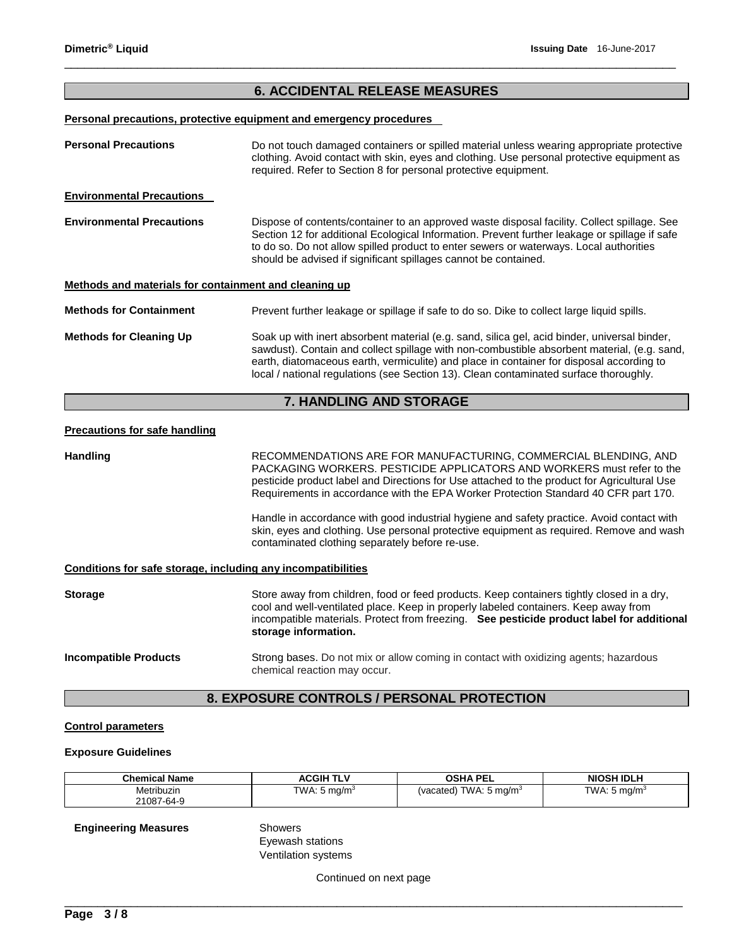# **6. ACCIDENTAL RELEASE MEASURES**

\_\_\_\_\_\_\_\_\_\_\_\_\_\_\_\_\_\_\_\_\_\_\_\_\_\_\_\_\_\_\_\_\_\_\_\_\_\_\_\_\_\_\_\_\_\_\_\_\_\_\_\_\_\_\_\_\_\_\_\_\_\_\_\_\_\_\_\_\_\_\_\_\_\_\_\_\_\_\_\_\_\_\_\_\_\_\_\_\_\_\_\_

### **Personal precautions, protective equipment and emergency procedures**

| <b>Personal Precautions</b>                           | Do not touch damaged containers or spilled material unless wearing appropriate protective<br>clothing. Avoid contact with skin, eyes and clothing. Use personal protective equipment as<br>required. Refer to Section 8 for personal protective equipment.                                                                                                                       |
|-------------------------------------------------------|----------------------------------------------------------------------------------------------------------------------------------------------------------------------------------------------------------------------------------------------------------------------------------------------------------------------------------------------------------------------------------|
| <b>Environmental Precautions</b>                      |                                                                                                                                                                                                                                                                                                                                                                                  |
| <b>Environmental Precautions</b>                      | Dispose of contents/container to an approved waste disposal facility. Collect spillage. See<br>Section 12 for additional Ecological Information. Prevent further leakage or spillage if safe<br>to do so. Do not allow spilled product to enter sewers or waterways. Local authorities<br>should be advised if significant spillages cannot be contained.                        |
| Methods and materials for containment and cleaning up |                                                                                                                                                                                                                                                                                                                                                                                  |
| <b>Methods for Containment</b>                        | Prevent further leakage or spillage if safe to do so. Dike to collect large liquid spills.                                                                                                                                                                                                                                                                                       |
| <b>Methods for Cleaning Up</b>                        | Soak up with inert absorbent material (e.g. sand, silica gel, acid binder, universal binder,<br>sawdust). Contain and collect spillage with non-combustible absorbent material, (e.g. sand,<br>earth, diatomaceous earth, vermiculite) and place in container for disposal according to<br>local / national regulations (see Section 13). Clean contaminated surface thoroughly. |

# **7. HANDLING AND STORAGE**

### **Precautions for safe handling**

**Handling The RECOMMENDATIONS ARE FOR MANUFACTURING, COMMERCIAL BLENDING, AND** PACKAGING WORKERS. PESTICIDE APPLICATORS AND WORKERS must refer to the pesticide product label and Directions for Use attached to the product for Agricultural Use Requirements in accordance with the EPA Worker Protection Standard 40 CFR part 170. Handle in accordance with good industrial hygiene and safety practice. Avoid contact with skin, eyes and clothing. Use personal protective equipment as required. Remove and wash contaminated clothing separately before re-use. **Conditions for safe storage, including any incompatibilities**

| <b>Storage</b>               | Store away from children, food or feed products. Keep containers tightly closed in a dry,<br>cool and well-ventilated place. Keep in properly labeled containers. Keep away from<br>incompatible materials. Protect from freezing. See pesticide product label for additional<br>storage information. |
|------------------------------|-------------------------------------------------------------------------------------------------------------------------------------------------------------------------------------------------------------------------------------------------------------------------------------------------------|
| <b>Incompatible Products</b> | Strong bases. Do not mix or allow coming in contact with oxidizing agents; hazardous<br>chemical reaction may occur.                                                                                                                                                                                  |

# **8. EXPOSURE CONTROLS / PERSONAL PROTECTION**

### **Control parameters**

#### **Exposure Guidelines**

| <b>Chemical Name</b> | <b>ACGIH TLV</b>        | <b>OSHA PEL</b>                   | <b>NIOSH IDLH</b> |
|----------------------|-------------------------|-----------------------------------|-------------------|
| Metribuzin           | TWA: $5 \text{ mg/m}^3$ | (vacated) TWA: $5 \text{ mg/m}^3$ | TWA: 5 mg/m $3$   |
| 21087-64-9           |                         |                                   |                   |

**Engineering Measures** Showers

Eyewash stations Ventilation systems

Continued on next page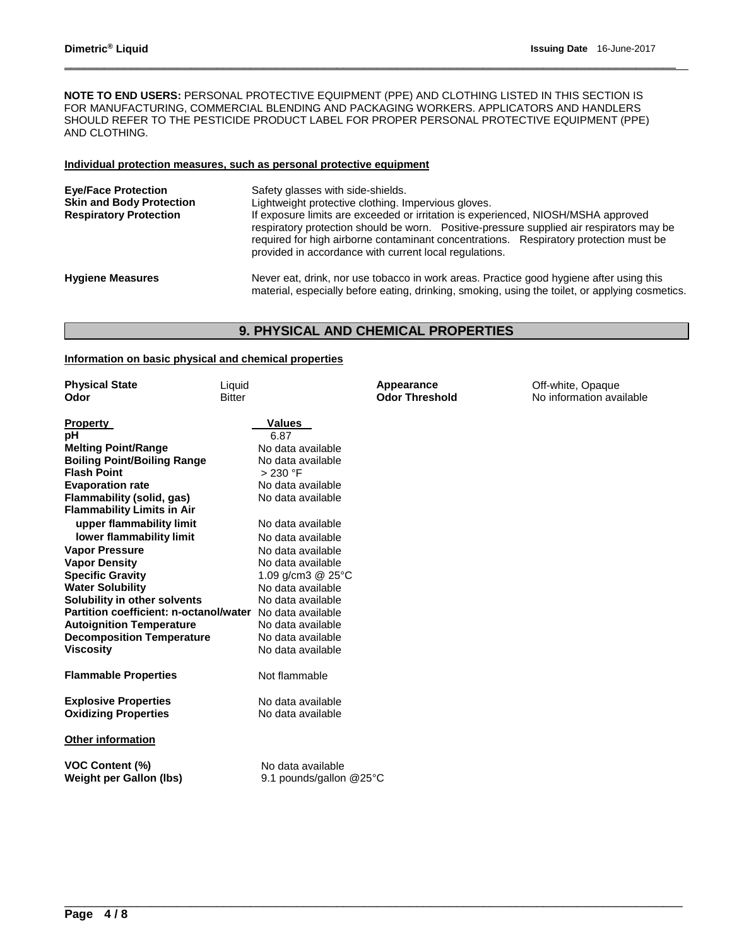**NOTE TO END USERS:** PERSONAL PROTECTIVE EQUIPMENT (PPE) AND CLOTHING LISTED IN THIS SECTION IS FOR MANUFACTURING, COMMERCIAL BLENDING AND PACKAGING WORKERS. APPLICATORS AND HANDLERS SHOULD REFER TO THE PESTICIDE PRODUCT LABEL FOR PROPER PERSONAL PROTECTIVE EQUIPMENT (PPE) AND CLOTHING.

\_\_\_\_\_\_\_\_\_\_\_\_\_\_\_\_\_\_\_\_\_\_\_\_\_\_\_\_\_\_\_\_\_\_\_\_\_\_\_\_\_\_\_\_\_\_\_\_\_\_\_\_\_\_\_\_\_\_\_\_\_\_\_\_\_\_\_\_\_\_\_\_\_\_\_\_\_\_\_\_\_\_\_\_\_\_\_\_\_\_\_\_

### **Individual protection measures, such as personal protective equipment**

| <b>Eve/Face Protection</b><br><b>Skin and Body Protection</b><br><b>Respiratory Protection</b> | Safety glasses with side-shields.<br>Lightweight protective clothing. Impervious gloves.<br>If exposure limits are exceeded or irritation is experienced, NIOSH/MSHA approved<br>respiratory protection should be worn. Positive-pressure supplied air respirators may be<br>required for high airborne contaminant concentrations. Respiratory protection must be<br>provided in accordance with current local regulations. |
|------------------------------------------------------------------------------------------------|------------------------------------------------------------------------------------------------------------------------------------------------------------------------------------------------------------------------------------------------------------------------------------------------------------------------------------------------------------------------------------------------------------------------------|
| <b>Hygiene Measures</b>                                                                        | Never eat, drink, nor use tobacco in work areas. Practice good hygiene after using this<br>material, especially before eating, drinking, smoking, using the toilet, or applying cosmetics.                                                                                                                                                                                                                                   |

# **9. PHYSICAL AND CHEMICAL PROPERTIES**

### **Information on basic physical and chemical properties**

| <b>Physical State</b><br>Odor          | Liquid<br><b>Bitter</b> | Appearance<br><b>Odor Threshold</b> | Off-white, Opaque<br>No information available |
|----------------------------------------|-------------------------|-------------------------------------|-----------------------------------------------|
| <b>Property</b>                        | Values                  |                                     |                                               |
| pН                                     | 6.87                    |                                     |                                               |
| <b>Melting Point/Range</b>             | No data available       |                                     |                                               |
| <b>Boiling Point/Boiling Range</b>     | No data available       |                                     |                                               |
| <b>Flash Point</b>                     | > 230 °F                |                                     |                                               |
| <b>Evaporation rate</b>                | No data available       |                                     |                                               |
| Flammability (solid, gas)              | No data available       |                                     |                                               |
| <b>Flammability Limits in Air</b>      |                         |                                     |                                               |
| upper flammability limit               | No data available       |                                     |                                               |
| lower flammability limit               | No data available       |                                     |                                               |
| <b>Vapor Pressure</b>                  | No data available       |                                     |                                               |
| <b>Vapor Density</b>                   | No data available       |                                     |                                               |
| <b>Specific Gravity</b>                | 1.09 g/cm3 $@$ 25 $°C$  |                                     |                                               |
| <b>Water Solubility</b>                | No data available       |                                     |                                               |
| Solubility in other solvents           | No data available       |                                     |                                               |
| Partition coefficient: n-octanol/water | No data available       |                                     |                                               |
| <b>Autoignition Temperature</b>        | No data available       |                                     |                                               |
| <b>Decomposition Temperature</b>       | No data available       |                                     |                                               |
| <b>Viscosity</b>                       | No data available       |                                     |                                               |
| <b>Flammable Properties</b>            | Not flammable           |                                     |                                               |
| <b>Explosive Properties</b>            | No data available       |                                     |                                               |
| <b>Oxidizing Properties</b>            | No data available       |                                     |                                               |
| <b>Other information</b>               |                         |                                     |                                               |
| <b>VOC Content (%)</b>                 | No data available       |                                     |                                               |
| <b>Weight per Gallon (lbs)</b>         | 9.1 pounds/gallon @25°C |                                     |                                               |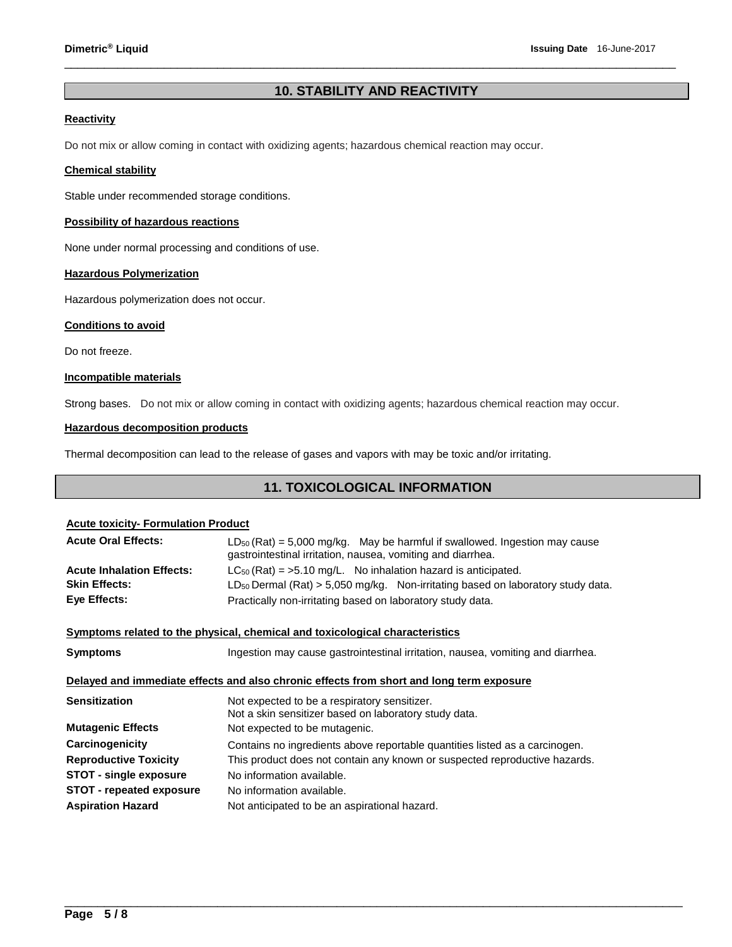# **10. STABILITY AND REACTIVITY**

\_\_\_\_\_\_\_\_\_\_\_\_\_\_\_\_\_\_\_\_\_\_\_\_\_\_\_\_\_\_\_\_\_\_\_\_\_\_\_\_\_\_\_\_\_\_\_\_\_\_\_\_\_\_\_\_\_\_\_\_\_\_\_\_\_\_\_\_\_\_\_\_\_\_\_\_\_\_\_\_\_\_\_\_\_\_\_\_\_\_\_\_

# **Reactivity**

Do not mix or allow coming in contact with oxidizing agents; hazardous chemical reaction may occur.

### **Chemical stability**

Stable under recommended storage conditions.

### **Possibility of hazardous reactions**

None under normal processing and conditions of use.

### **Hazardous Polymerization**

Hazardous polymerization does not occur.

### **Conditions to avoid**

Do not freeze.

# **Incompatible materials**

Strong bases. Do not mix or allow coming in contact with oxidizing agents; hazardous chemical reaction may occur.

### **Hazardous decomposition products**

Thermal decomposition can lead to the release of gases and vapors with may be toxic and/or irritating.

# **11. TOXICOLOGICAL INFORMATION**

| <b>Acute toxicity- Formulation Product</b> |                                                                                                                                                           |
|--------------------------------------------|-----------------------------------------------------------------------------------------------------------------------------------------------------------|
| <b>Acute Oral Effects:</b>                 | $LD_{50}$ (Rat) = 5,000 mg/kg. May be harmful if swallowed. Ingestion may cause<br>gastrointestinal irritation, nausea, vomiting and diarrhea.            |
| <b>Acute Inhalation Effects:</b>           | $LC_{50}$ (Rat) = >5.10 mg/L. No inhalation hazard is anticipated.                                                                                        |
| <b>Skin Effects:</b>                       | $LD_{50}$ Dermal (Rat) > 5,050 mg/kg. Non-irritating based on laboratory study data.                                                                      |
| Eye Effects:                               | Practically non-irritating based on laboratory study data.                                                                                                |
|                                            | Symptoms related to the physical, chemical and toxicological characteristics                                                                              |
|                                            |                                                                                                                                                           |
| <b>Symptoms</b>                            | Ingestion may cause gastrointestinal irritation, nausea, vomiting and diarrhea.                                                                           |
|                                            | Delayed and immediate effects and also chronic effects from short and long term exposure                                                                  |
| <b>Sensitization</b>                       | Not expected to be a respiratory sensitizer.<br>Not a skin sensitizer based on laboratory study data.                                                     |
| <b>Mutagenic Effects</b>                   | Not expected to be mutagenic.                                                                                                                             |
| Carcinogenicity                            |                                                                                                                                                           |
| <b>Reproductive Toxicity</b>               | Contains no ingredients above reportable quantities listed as a carcinogen.<br>This product does not contain any known or suspected reproductive hazards. |
| <b>STOT - single exposure</b>              | No information available.                                                                                                                                 |
| <b>STOT - repeated exposure</b>            | No information available.                                                                                                                                 |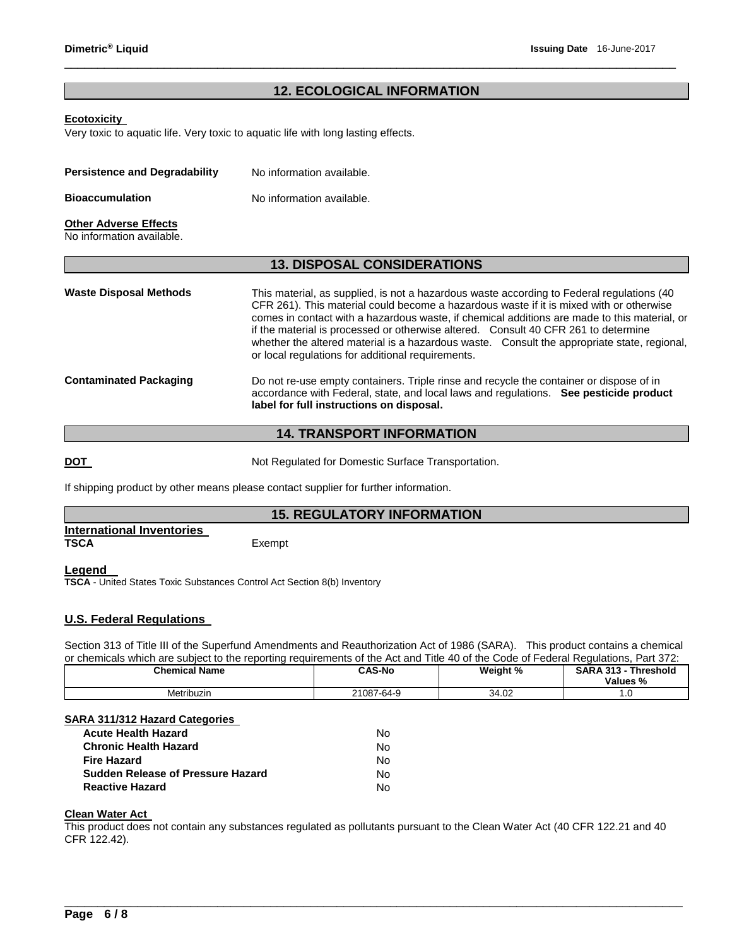# **12. ECOLOGICAL INFORMATION**

\_\_\_\_\_\_\_\_\_\_\_\_\_\_\_\_\_\_\_\_\_\_\_\_\_\_\_\_\_\_\_\_\_\_\_\_\_\_\_\_\_\_\_\_\_\_\_\_\_\_\_\_\_\_\_\_\_\_\_\_\_\_\_\_\_\_\_\_\_\_\_\_\_\_\_\_\_\_\_\_\_\_\_\_\_\_\_\_\_\_\_\_

### **Ecotoxicity**

Very toxic to aquatic life. Very toxic to aquatic life with long lasting effects.

| <b>Persistence and Degradability</b> | No information available. |
|--------------------------------------|---------------------------|
| <b>Bioaccumulation</b>               | No information available. |

# **Other Adverse Effects**

No information available.

### **13. DISPOSAL CONSIDERATIONS**

| <b>Waste Disposal Methods</b> | This material, as supplied, is not a hazardous waste according to Federal regulations (40)<br>CFR 261). This material could become a hazardous waste if it is mixed with or otherwise<br>comes in contact with a hazardous waste, if chemical additions are made to this material, or<br>if the material is processed or otherwise altered. Consult 40 CFR 261 to determine<br>whether the altered material is a hazardous waste. Consult the appropriate state, regional,<br>or local regulations for additional requirements. |  |
|-------------------------------|---------------------------------------------------------------------------------------------------------------------------------------------------------------------------------------------------------------------------------------------------------------------------------------------------------------------------------------------------------------------------------------------------------------------------------------------------------------------------------------------------------------------------------|--|
| <b>Contaminated Packaging</b> | Do not re-use empty containers. Triple rinse and recycle the container or dispose of in<br>accordance with Federal, state, and local laws and regulations. See pesticide product<br>label for full instructions on disposal.                                                                                                                                                                                                                                                                                                    |  |

# **14. TRANSPORT INFORMATION**

**DOT Not Regulated for Domestic Surface Transportation.** 

If shipping product by other means please contact supplier for further information.

# **15. REGULATORY INFORMATION**

**International Inventories** 

Exempt

#### **Legend**

**TSCA** - United States Toxic Substances Control Act Section 8(b) Inventory

# **U.S. Federal Regulations**

Section 313 of Title III of the Superfund Amendments and Reauthorization Act of 1986 (SARA). This product contains a chemical or chemicals which are subject to the reporting requirements of the Act and Title 40 of the Code of Federal Regulations, Part 372:

| <b>Chemical Name</b> | <b>CAS-No</b> | Weight % | <b>Threshold</b><br><b>SARA 313</b><br>Values % |
|----------------------|---------------|----------|-------------------------------------------------|
| Metribuzin           | 21087-64-9    | 34.02    | .v                                              |

#### **SARA 311/312 Hazard Categories**

| Acute Health Hazard               | No. |
|-----------------------------------|-----|
| Chronic Health Hazard             | No. |
| Fire Hazard                       | No. |
| Sudden Release of Pressure Hazard | No. |
| <b>Reactive Hazard</b>            | No. |

# **Clean Water Act**

This product does not contain any substances regulated as pollutants pursuant to the Clean Water Act (40 CFR 122.21 and 40 CFR 122.42).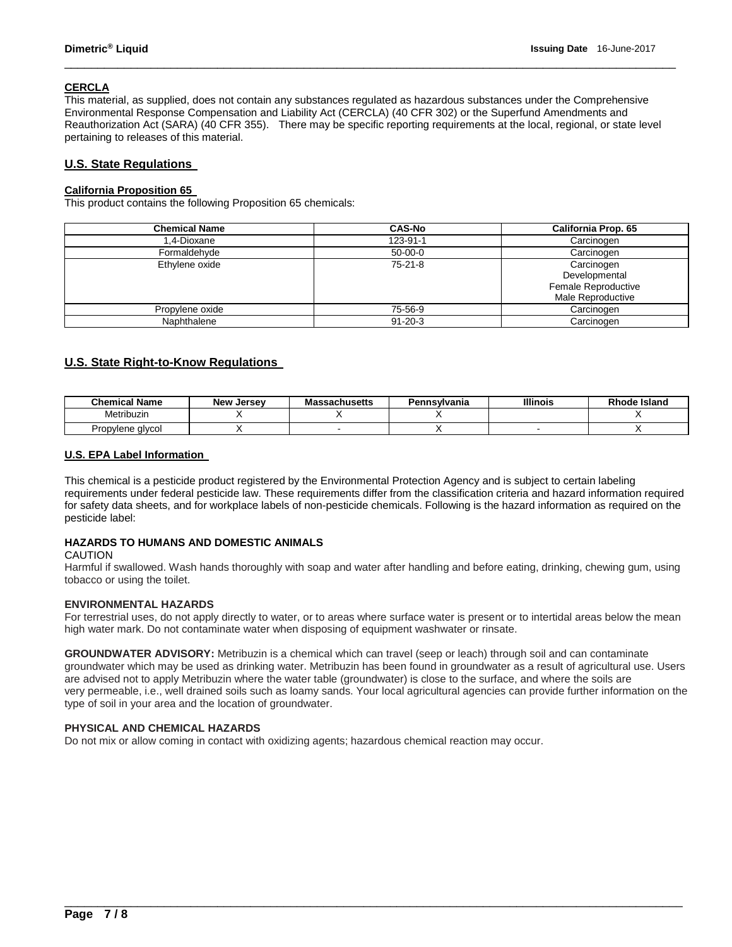### **CERCLA**

This material, as supplied, does not contain any substances regulated as hazardous substances under the Comprehensive Environmental Response Compensation and Liability Act (CERCLA) (40 CFR 302) or the Superfund Amendments and Reauthorization Act (SARA) (40 CFR 355). There may be specific reporting requirements at the local, regional, or state level pertaining to releases of this material.

\_\_\_\_\_\_\_\_\_\_\_\_\_\_\_\_\_\_\_\_\_\_\_\_\_\_\_\_\_\_\_\_\_\_\_\_\_\_\_\_\_\_\_\_\_\_\_\_\_\_\_\_\_\_\_\_\_\_\_\_\_\_\_\_\_\_\_\_\_\_\_\_\_\_\_\_\_\_\_\_\_\_\_\_\_\_\_\_\_\_\_\_

# **U.S. State Regulations**

### **California Proposition 65**

This product contains the following Proposition 65 chemicals:

| <b>Chemical Name</b> | <b>CAS-No</b> | <b>California Prop. 65</b>                                              |
|----------------------|---------------|-------------------------------------------------------------------------|
| 1.4-Dioxane          | 123-91-1      | Carcinogen                                                              |
| Formaldehyde         | $50-00-0$     | Carcinogen                                                              |
| Ethylene oxide       | $75-21-8$     | Carcinogen<br>Developmental<br>Female Reproductive<br>Male Reproductive |
| Propylene oxide      | 75-56-9       | Carcinogen                                                              |
| Naphthalene          | $91 - 20 - 3$ | Carcinogen                                                              |

# **U.S. State Right-to-Know Regulations**

| <b>Chemical Name</b> | New<br>. Jersev | <b>Massachusetts</b> | Pennsylvania | <b>Illinois</b> | <b>Rhode Island</b> |
|----------------------|-----------------|----------------------|--------------|-----------------|---------------------|
| Metribuzin           |                 |                      |              |                 |                     |
| Propvlene<br>∙alvcoi |                 |                      |              |                 |                     |

### **U.S. EPA Label Information**

This chemical is a pesticide product registered by the Environmental Protection Agency and is subject to certain labeling requirements under federal pesticide law. These requirements differ from the classification criteria and hazard information required for safety data sheets, and for workplace labels of non-pesticide chemicals. Following is the hazard information as required on the pesticide label:

### **HAZARDS TO HUMANS AND DOMESTIC ANIMALS**

### CAUTION

Harmful if swallowed. Wash hands thoroughly with soap and water after handling and before eating, drinking, chewing gum, using tobacco or using the toilet.

### **ENVIRONMENTAL HAZARDS**

For terrestrial uses, do not apply directly to water, or to areas where surface water is present or to intertidal areas below the mean high water mark. Do not contaminate water when disposing of equipment washwater or rinsate.

**GROUNDWATER ADVISORY:** Metribuzin is a chemical which can travel (seep or leach) through soil and can contaminate groundwater which may be used as drinking water. Metribuzin has been found in groundwater as a result of agricultural use. Users are advised not to apply Metribuzin where the water table (groundwater) is close to the surface, and where the soils are very permeable, i.e., well drained soils such as loamy sands. Your local agricultural agencies can provide further information on the type of soil in your area and the location of groundwater.

\_\_\_\_\_\_\_\_\_\_\_\_\_\_\_\_\_\_\_\_\_\_\_\_\_\_\_\_\_\_\_\_\_\_\_\_\_\_\_\_\_\_\_\_\_\_\_\_\_\_\_\_\_\_\_\_\_\_\_\_\_\_\_\_\_\_\_\_\_\_\_\_\_\_\_\_\_\_\_\_\_\_\_\_\_\_\_\_\_\_\_\_\_

### **PHYSICAL AND CHEMICAL HAZARDS**

Do not mix or allow coming in contact with oxidizing agents; hazardous chemical reaction may occur.